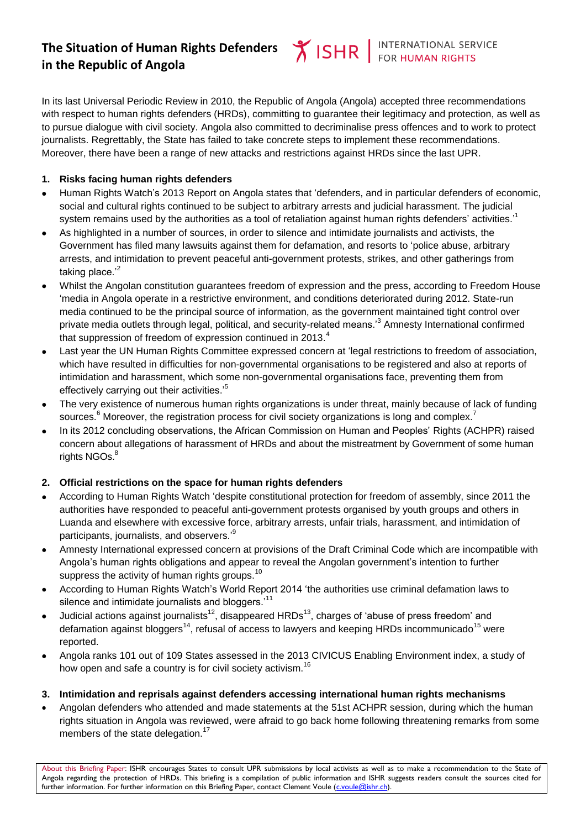# **The Situation of Human Rights Defenders in the Republic of Angola**

In its last Universal Periodic Review in 2010, the Republic of Angola (Angola) accepted three recommendations with respect to human rights defenders (HRDs), committing to guarantee their legitimacy and protection, as well as to pursue dialogue with civil society. Angola also committed to decriminalise press offences and to work to protect journalists. Regrettably, the State has failed to take concrete steps to implement these recommendations. Moreover, there have been a range of new attacks and restrictions against HRDs since the last UPR.

## **1. Risks facing human rights defenders**

- Human Rights Watch's 2013 Report on Angola states that 'defenders, and in particular defenders of economic, social and cultural rights continued to be subject to arbitrary arrests and judicial harassment. The judicial system remains used by the authorities as a tool of retaliation against human rights defenders' activities.<sup>,1</sup>
- As highlighted in a number of sources, in order to silence and intimidate journalists and activists, the Government has filed many lawsuits against them for defamation, and resorts to 'police abuse, arbitrary arrests, and intimidation to prevent peaceful anti-government protests, strikes, and other gatherings from taking place. $2^2$
- Whilst the Angolan constitution guarantees freedom of expression and the press, according to Freedom House 'media in Angola operate in a restrictive environment, and conditions deteriorated during 2012. State-run media continued to be the principal source of information, as the government maintained tight control over private media outlets through legal, political, and security-related means.'<sup>3</sup> Amnesty International confirmed that suppression of freedom of expression continued in 2013. $4$
- Last year the UN Human Rights Committee expressed concern at 'legal restrictions to freedom of association, which have resulted in difficulties for non-governmental organisations to be registered and also at reports of intimidation and harassment, which some non-governmental organisations face, preventing them from effectively carrying out their activities.'<sup>5</sup>
- The very existence of numerous human rights organizations is under threat, mainly because of lack of funding sources. $6$  Moreover, the registration process for civil society organizations is long and complex.<sup>7</sup>
- In its 2012 concluding observations, the African Commission on Human and Peoples' Rights (ACHPR) raised concern about allegations of harassment of HRDs and about the mistreatment by Government of some human rights NGOs.<sup>8</sup>

#### **2. Official restrictions on the space for human rights defenders**

- According to Human Rights Watch 'despite constitutional protection for freedom of assembly, since 2011 the authorities have responded to peaceful anti-government protests organised by youth groups and others in Luanda and elsewhere with excessive force, arbitrary arrests, unfair trials, harassment, and intimidation of participants, journalists, and observers.'<sup>9</sup>
- Amnesty International expressed concern at provisions of the Draft Criminal Code which are incompatible with Angola's human rights obligations and appear to reveal the Angolan government's intention to further suppress the activity of human rights groups.<sup>10</sup>
- According to Human Rights Watch's World Report 2014 'the authorities use criminal defamation laws to silence and intimidate journalists and bloggers.<sup>11</sup>
- Judicial actions against journalists<sup>12</sup>, disappeared HRDs<sup>13</sup>, charges of 'abuse of press freedom' and defamation against bloggers<sup>14</sup>, refusal of access to lawyers and keeping HRDs incommunicado<sup>15</sup> were reported.
- Angola ranks 101 out of 109 States assessed in the 2013 CIVICUS Enabling Environment index, a study of how open and safe a country is for civil society activism.<sup>16</sup>

### **3. Intimidation and reprisals against defenders accessing international human rights mechanisms**

 Angolan defenders who attended and made statements at the 51st ACHPR session, during which the human rights situation in Angola was reviewed, were afraid to go back home following threatening remarks from some members of the state delegation.<sup>17</sup>

About this Briefing Paper: ISHR encourages States to consult UPR submissions by local activists as well as to make a recommendation to the State of Angola regarding the protection of HRDs. This briefing is a compilation of public information and ISHR suggests readers consult the sources cited for further information. For further information on this Briefing Paper, contact Clement Voule (c.voule@ishr.ch).